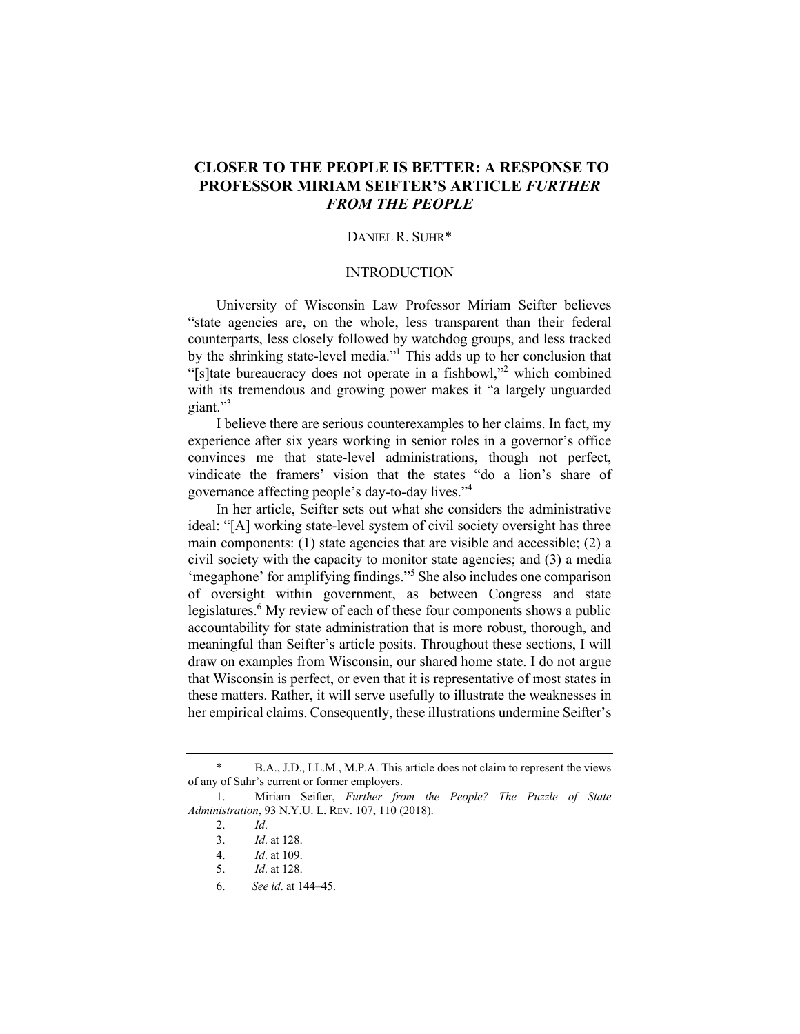# **CLOSER TO THE PEOPLE IS BETTER: A RESPONSE TO PROFESSOR MIRIAM SEIFTER'S ARTICLE** *FURTHER FROM THE PEOPLE*

### DANIEL R. SUHR\*

## INTRODUCTION

University of Wisconsin Law Professor Miriam Seifter believes "state agencies are, on the whole, less transparent than their federal counterparts, less closely followed by watchdog groups, and less tracked by the shrinking state-level media."1 This adds up to her conclusion that "[s]tate bureaucracy does not operate in a fishbowl,"<sup>2</sup> which combined with its tremendous and growing power makes it "a largely unguarded giant."3

I believe there are serious counterexamples to her claims. In fact, my experience after six years working in senior roles in a governor's office convinces me that state-level administrations, though not perfect, vindicate the framers' vision that the states "do a lion's share of governance affecting people's day-to-day lives."4

In her article, Seifter sets out what she considers the administrative ideal: "[A] working state-level system of civil society oversight has three main components: (1) state agencies that are visible and accessible; (2) a civil society with the capacity to monitor state agencies; and (3) a media 'megaphone' for amplifying findings."5 She also includes one comparison of oversight within government, as between Congress and state legislatures.<sup>6</sup> My review of each of these four components shows a public accountability for state administration that is more robust, thorough, and meaningful than Seifter's article posits. Throughout these sections, I will draw on examples from Wisconsin, our shared home state. I do not argue that Wisconsin is perfect, or even that it is representative of most states in these matters. Rather, it will serve usefully to illustrate the weaknesses in her empirical claims. Consequently, these illustrations undermine Seifter's

B.A., J.D., LL.M., M.P.A. This article does not claim to represent the views of any of Suhr's current or former employers.

<sup>1.</sup> Miriam Seifter, *Further from the People? The Puzzle of State Administration*, 93 N.Y.U. L. REV. 107, 110 (2018).

<sup>2.</sup> *Id*.

<sup>3.</sup> *Id*. at 128.

<sup>4.</sup> *Id*. at 109.

<sup>5.</sup> *Id*. at 128.

<sup>6.</sup> *See id*. at 144–45.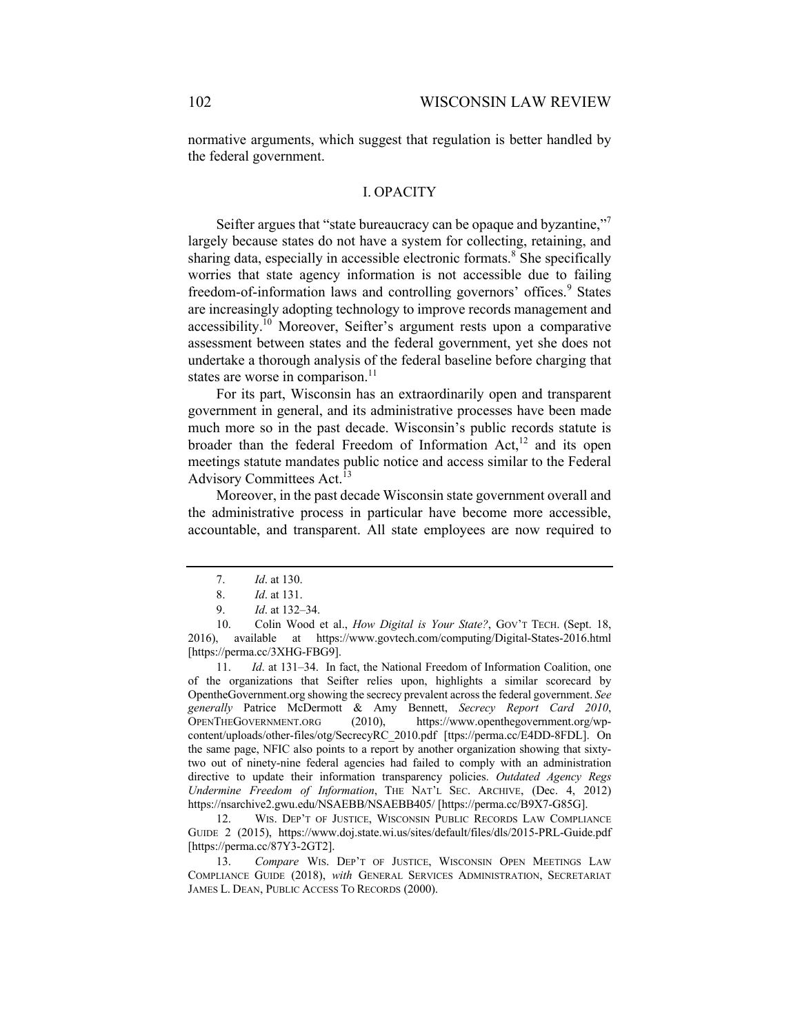normative arguments, which suggest that regulation is better handled by the federal government.

#### I. OPACITY

Seifter argues that "state bureaucracy can be opaque and byzantine," largely because states do not have a system for collecting, retaining, and sharing data, especially in accessible electronic formats.<sup>8</sup> She specifically worries that state agency information is not accessible due to failing freedom-of-information laws and controlling governors' offices.<sup>9</sup> States are increasingly adopting technology to improve records management and  $accessibility<sup>10</sup>$  Moreover, Seifter's argument rests upon a comparative assessment between states and the federal government, yet she does not undertake a thorough analysis of the federal baseline before charging that states are worse in comparison.<sup>11</sup>

For its part, Wisconsin has an extraordinarily open and transparent government in general, and its administrative processes have been made much more so in the past decade. Wisconsin's public records statute is broader than the federal Freedom of Information  $Act<sub>1</sub><sup>12</sup>$  and its open meetings statute mandates public notice and access similar to the Federal Advisory Committees Act.<sup>13</sup>

Moreover, in the past decade Wisconsin state government overall and the administrative process in particular have become more accessible, accountable, and transparent. All state employees are now required to

11. *Id*. at 131–34. In fact, the National Freedom of Information Coalition, one of the organizations that Seifter relies upon, highlights a similar scorecard by OpentheGovernment.org showing the secrecy prevalent across the federal government. *See generally* Patrice McDermott & Amy Bennett, *Secrecy Report Card 2010*, OPENTHEGOVERNMENT.ORG (2010), https://www.openthegovernment.org/wpcontent/uploads/other-files/otg/SecrecyRC\_2010.pdf [ttps://perma.cc/E4DD-8FDL]. On the same page, NFIC also points to a report by another organization showing that sixtytwo out of ninety-nine federal agencies had failed to comply with an administration directive to update their information transparency policies. *Outdated Agency Regs Undermine Freedom of Information*, THE NAT'L SEC. ARCHIVE, (Dec. 4, 2012) https://nsarchive2.gwu.edu/NSAEBB/NSAEBB405/ [https://perma.cc/B9X7-G85G].

12. WIS. DEP'T OF JUSTICE, WISCONSIN PUBLIC RECORDS LAW COMPLIANCE GUIDE 2 (2015), https://www.doj.state.wi.us/sites/default/files/dls/2015-PRL-Guide.pdf [https://perma.cc/87Y3-2GT2].

13. *Compare* WIS. DEP'T OF JUSTICE, WISCONSIN OPEN MEETINGS LAW COMPLIANCE GUIDE (2018), *with* GENERAL SERVICES ADMINISTRATION, SECRETARIAT JAMES L. DEAN, PUBLIC ACCESS TO RECORDS (2000).

<sup>7.</sup> *Id*. at 130.

<sup>8.</sup> *Id*. at 131.

<sup>9.</sup> *Id*. at 132–34.

<sup>10.</sup> Colin Wood et al., *How Digital is Your State?*, GOV'T TECH. (Sept. 18, 2016), available at https://www.govtech.com/computing/Digital-States-2016.html [https://perma.cc/3XHG-FBG9].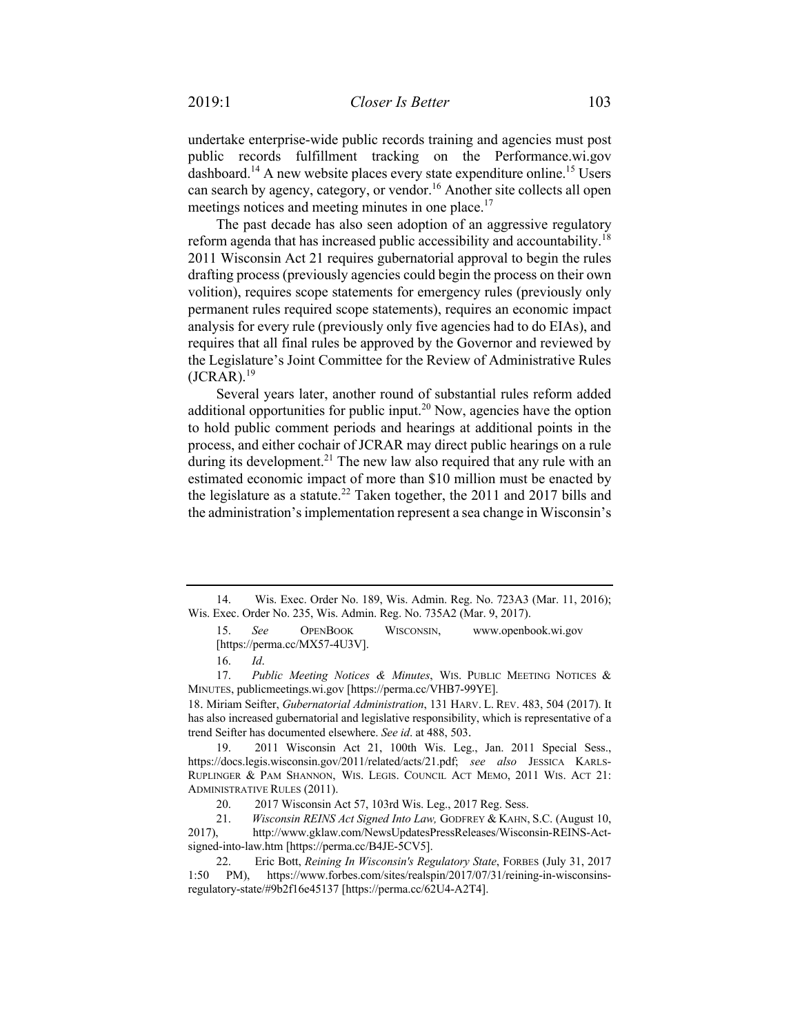undertake enterprise-wide public records training and agencies must post public records fulfillment tracking on the Performance.wi.gov dashboard.<sup>14</sup> A new website places every state expenditure online.<sup>15</sup> Users can search by agency, category, or vendor.<sup>16</sup> Another site collects all open meetings notices and meeting minutes in one place.<sup>17</sup>

The past decade has also seen adoption of an aggressive regulatory reform agenda that has increased public accessibility and accountability.<sup>18</sup> 2011 Wisconsin Act 21 requires gubernatorial approval to begin the rules drafting process (previously agencies could begin the process on their own volition), requires scope statements for emergency rules (previously only permanent rules required scope statements), requires an economic impact analysis for every rule (previously only five agencies had to do EIAs), and requires that all final rules be approved by the Governor and reviewed by the Legislature's Joint Committee for the Review of Administrative Rules  $(JCRAR).<sup>19</sup>$ 

Several years later, another round of substantial rules reform added additional opportunities for public input.<sup>20</sup> Now, agencies have the option to hold public comment periods and hearings at additional points in the process, and either cochair of JCRAR may direct public hearings on a rule during its development.<sup>21</sup> The new law also required that any rule with an estimated economic impact of more than \$10 million must be enacted by the legislature as a statute.<sup>22</sup> Taken together, the 2011 and 2017 bills and the administration's implementation represent a sea change in Wisconsin's

15. *See* OPENBOOK WISCONSIN, www.openbook.wi.gov [https://perma.cc/MX57-4U3V].

17. *Public Meeting Notices & Minutes*, WIS. PUBLIC MEETING NOTICES & MINUTES, publicmeetings.wi.gov [https://perma.cc/VHB7-99YE].

18. Miriam Seifter, *Gubernatorial Administration*, 131 HARV. L. REV. 483, 504 (2017). It has also increased gubernatorial and legislative responsibility, which is representative of a trend Seifter has documented elsewhere. *See id*. at 488, 503.

19. 2011 Wisconsin Act 21, 100th Wis. Leg., Jan. 2011 Special Sess., https://docs.legis.wisconsin.gov/2011/related/acts/21.pdf; *see also* JESSICA KARLS-RUPLINGER & PAM SHANNON, WIS. LEGIS. COUNCIL ACT MEMO, 2011 WIS. ACT 21: ADMINISTRATIVE RULES (2011).

21. *Wisconsin REINS Act Signed Into Law,* GODFREY & KAHN, S.C. (August 10, 2017), http://www.gklaw.com/NewsUpdatesPressReleases/Wisconsin-REINS-Actsigned-into-law.htm [https://perma.cc/B4JE-5CV5].

<sup>14.</sup> Wis. Exec. Order No. 189, Wis. Admin. Reg. No. 723A3 (Mar. 11, 2016); Wis. Exec. Order No. 235, Wis. Admin. Reg. No. 735A2 (Mar. 9, 2017).

<sup>16.</sup> *Id*.

<sup>20.</sup> 2017 Wisconsin Act 57, 103rd Wis. Leg., 2017 Reg. Sess.

<sup>22.</sup> Eric Bott, *Reining In Wisconsin's Regulatory State*, FORBES (July 31, 2017 1:50 PM), https://www.forbes.com/sites/realspin/2017/07/31/reining-in-wisconsinsregulatory-state/#9b2f16e45137 [https://perma.cc/62U4-A2T4].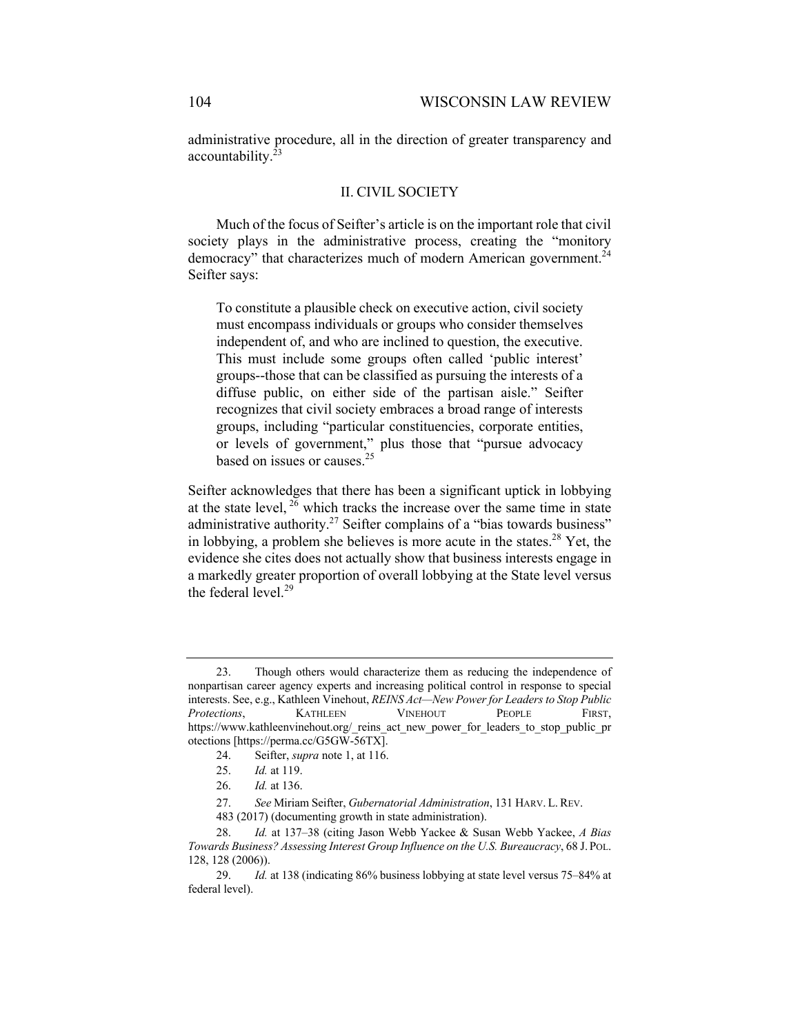administrative procedure, all in the direction of greater transparency and accountability.<sup>23</sup>

### II. CIVIL SOCIETY

Much of the focus of Seifter's article is on the important role that civil society plays in the administrative process, creating the "monitory democracy" that characterizes much of modern American government.<sup>24</sup> Seifter says:

To constitute a plausible check on executive action, civil society must encompass individuals or groups who consider themselves independent of, and who are inclined to question, the executive. This must include some groups often called 'public interest' groups--those that can be classified as pursuing the interests of a diffuse public, on either side of the partisan aisle." Seifter recognizes that civil society embraces a broad range of interests groups, including "particular constituencies, corporate entities, or levels of government," plus those that "pursue advocacy based on issues or causes.<sup>25</sup>

Seifter acknowledges that there has been a significant uptick in lobbying at the state level,  $26$  which tracks the increase over the same time in state administrative authority.<sup>27</sup> Seifter complains of a "bias towards business" in lobbying, a problem she believes is more acute in the states.<sup>28</sup> Yet, the evidence she cites does not actually show that business interests engage in a markedly greater proportion of overall lobbying at the State level versus the federal level.<sup>29</sup>

<sup>23.</sup> Though others would characterize them as reducing the independence of nonpartisan career agency experts and increasing political control in response to special interests. See, e.g., Kathleen Vinehout, *REINS Act—New Power for Leaders to Stop Public*  **Protections, CATHLEEN VINEHOUT PEOPLE FIRST,** https://www.kathleenvinehout.org/\_reins\_act\_new\_power\_for\_leaders\_to\_stop\_public\_pr otections [https://perma.cc/G5GW-56TX].

<sup>24.</sup> Seifter, *supra* note 1, at 116.

<sup>25.</sup> *Id.* at 119.

<sup>26.</sup> *Id.* at 136.

<sup>27.</sup> *See* Miriam Seifter, *Gubernatorial Administration*, 131 HARV. L.REV.

<sup>483 (2017)</sup> (documenting growth in state administration).

<sup>28.</sup> *Id.* at 137–38 (citing Jason Webb Yackee & Susan Webb Yackee, *A Bias Towards Business? Assessing Interest Group Influence on the U.S. Bureaucracy*, 68 J. POL. 128, 128 (2006)).

<sup>29.</sup> *Id.* at 138 (indicating 86% business lobbying at state level versus 75–84% at federal level).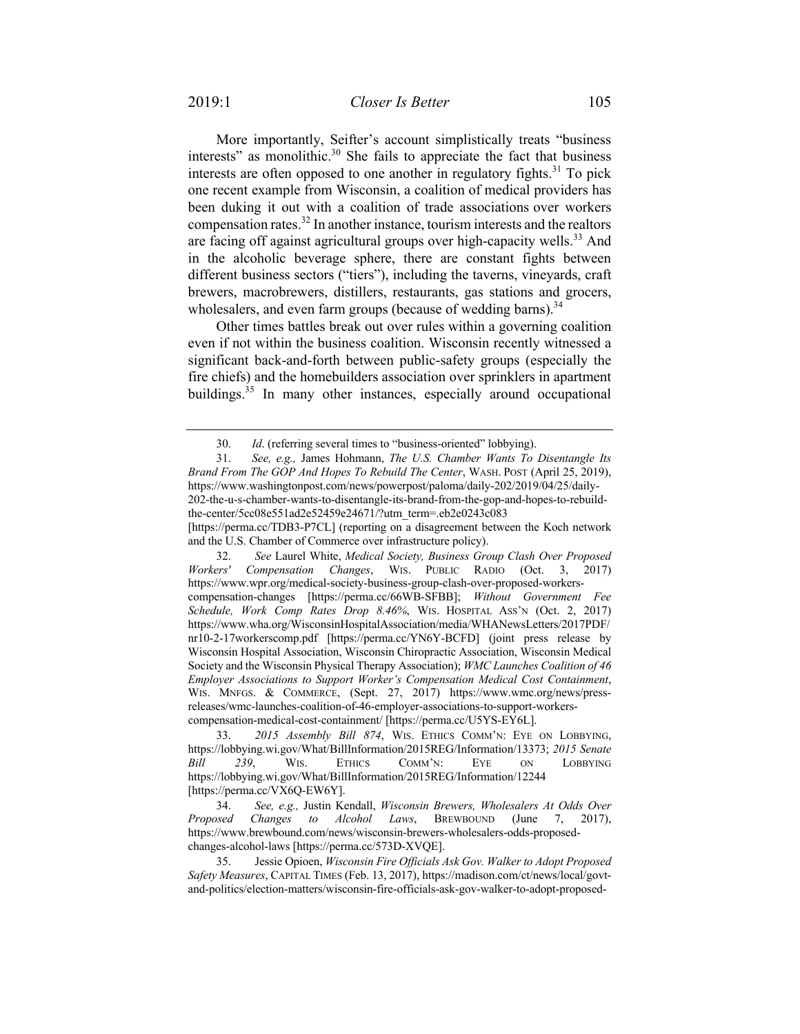More importantly, Seifter's account simplistically treats "business interests" as monolithic.30 She fails to appreciate the fact that business interests are often opposed to one another in regulatory fights.<sup>31</sup> To pick one recent example from Wisconsin, a coalition of medical providers has been duking it out with a coalition of trade associations over workers compensation rates.<sup>32</sup> In another instance, tourism interests and the realtors are facing off against agricultural groups over high-capacity wells.<sup>33</sup> And in the alcoholic beverage sphere, there are constant fights between different business sectors ("tiers"), including the taverns, vineyards, craft brewers, macrobrewers, distillers, restaurants, gas stations and grocers, wholesalers, and even farm groups (because of wedding barns). $34$ 

Other times battles break out over rules within a governing coalition even if not within the business coalition. Wisconsin recently witnessed a significant back-and-forth between public-safety groups (especially the fire chiefs) and the homebuilders association over sprinklers in apartment buildings.<sup>35</sup> In many other instances, especially around occupational

32. *See* Laurel White, *Medical Society, Business Group Clash Over Proposed Workers' Compensation Changes*, WIS. PUBLIC RADIO (Oct. 3, 2017) https://www.wpr.org/medical-society-business-group-clash-over-proposed-workerscompensation-changes [https://perma.cc/66WB-SFBB]; *Without Government Fee Schedule, Work Comp Rates Drop 8.46%*, WIS. HOSPITAL ASS'N (Oct. 2, 2017) https://www.wha.org/WisconsinHospitalAssociation/media/WHANewsLetters/2017PDF/ nr10-2-17workerscomp.pdf [https://perma.cc/YN6Y-BCFD] (joint press release by Wisconsin Hospital Association, Wisconsin Chiropractic Association, Wisconsin Medical Society and the Wisconsin Physical Therapy Association); *WMC Launches Coalition of 46 Employer Associations to Support Worker's Compensation Medical Cost Containment*, WIS. MNFGS. & COMMERCE, (Sept. 27, 2017) https://www.wmc.org/news/pressreleases/wmc-launches-coalition-of-46-employer-associations-to-support-workerscompensation-medical-cost-containment/ [https://perma.cc/U5YS-EY6L].

33. *2015 Assembly Bill 874*, WIS. ETHICS COMM'N: EYE ON LOBBYING, https://lobbying.wi.gov/What/BillInformation/2015REG/Information/13373; *2015 Senate Bill 239*, WIS. ETHICS COMM'N: EYE ON LOBBYING https://lobbying.wi.gov/What/BillInformation/2015REG/Information/12244 [https://perma.cc/VX6Q-EW6Y].

34. *See, e.g.,* Justin Kendall, *Wisconsin Brewers, Wholesalers At Odds Over Proposed Changes to Alcohol Laws*, BREWBOUND (June 7, 2017), https://www.brewbound.com/news/wisconsin-brewers-wholesalers-odds-proposedchanges-alcohol-laws [https://perma.cc/573D-XVQE].

35. Jessie Opioen, *Wisconsin Fire Officials Ask Gov. Walker to Adopt Proposed Safety Measures*, CAPITAL TIMES (Feb. 13, 2017), https://madison.com/ct/news/local/govtand-politics/election-matters/wisconsin-fire-officials-ask-gov-walker-to-adopt-proposed-

<sup>30.</sup> *Id*. (referring several times to "business-oriented" lobbying).

<sup>31.</sup> *See, e.g.,* James Hohmann, *The U.S. Chamber Wants To Disentangle Its Brand From The GOP And Hopes To Rebuild The Center*, WASH. POST (April 25, 2019), https://www.washingtonpost.com/news/powerpost/paloma/daily-202/2019/04/25/daily-202-the-u-s-chamber-wants-to-disentangle-its-brand-from-the-gop-and-hopes-to-rebuildthe-center/5cc08e551ad2e52459e24671/?utm\_term=.eb2e0243c083

<sup>[</sup>https://perma.cc/TDB3-P7CL] (reporting on a disagreement between the Koch network and the U.S. Chamber of Commerce over infrastructure policy).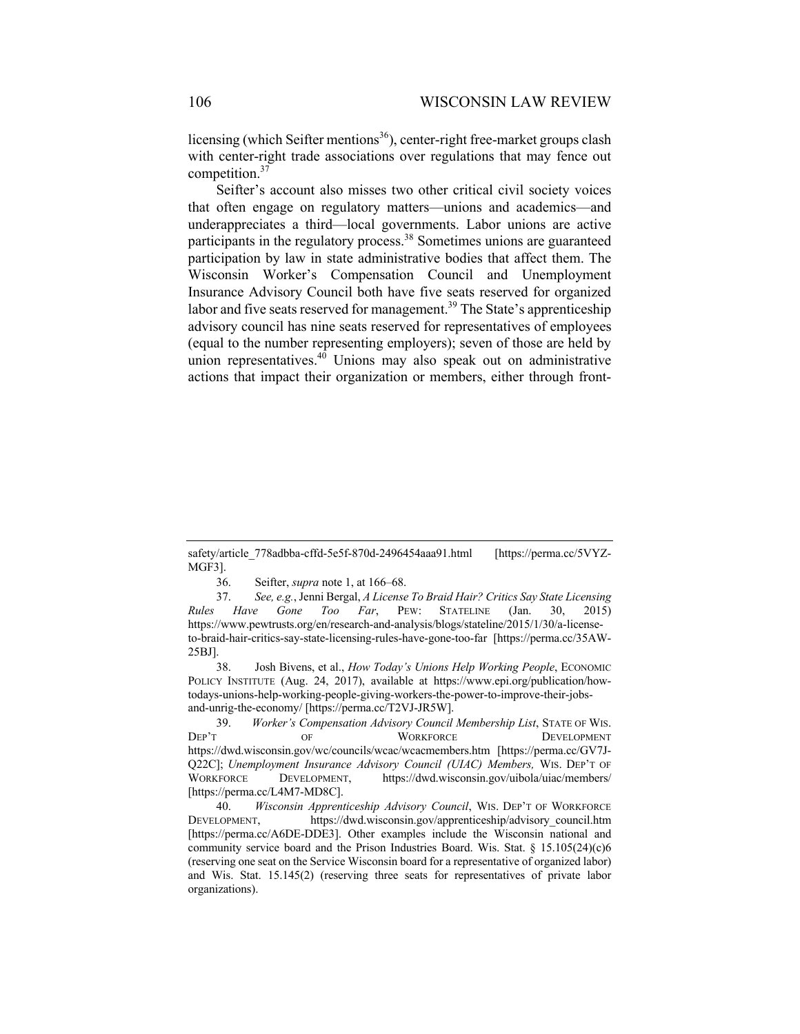licensing (which Seifter mentions<sup>36</sup>), center-right free-market groups clash with center-right trade associations over regulations that may fence out competition.<sup>37</sup>

Seifter's account also misses two other critical civil society voices that often engage on regulatory matters—unions and academics—and underappreciates a third—local governments. Labor unions are active participants in the regulatory process.<sup>38</sup> Sometimes unions are guaranteed participation by law in state administrative bodies that affect them. The Wisconsin Worker's Compensation Council and Unemployment Insurance Advisory Council both have five seats reserved for organized labor and five seats reserved for management.<sup>39</sup> The State's apprenticeship advisory council has nine seats reserved for representatives of employees (equal to the number representing employers); seven of those are held by union representatives. $40$  Unions may also speak out on administrative actions that impact their organization or members, either through front-

36. Seifter, *supra* note 1, at 166–68.

37. *See, e.g.*, Jenni Bergal, *A License To Braid Hair? Critics Say State Licensing Rules Have Gone Too Far*, PEW: STATELINE (Jan. 30, 2015) https://www.pewtrusts.org/en/research-and-analysis/blogs/stateline/2015/1/30/a-licenseto-braid-hair-critics-say-state-licensing-rules-have-gone-too-far [https://perma.cc/35AW-25BJ].

38. Josh Bivens, et al., *How Today's Unions Help Working People*, ECONOMIC POLICY INSTITUTE (Aug. 24, 2017), available at https://www.epi.org/publication/howtodays-unions-help-working-people-giving-workers-the-power-to-improve-their-jobsand-unrig-the-economy/ [https://perma.cc/T2VJ-JR5W].

39. *Worker's Compensation Advisory Council Membership List*, STATE OF WIS. DEP'T OF WORKFORCE DEVELOPMENT https://dwd.wisconsin.gov/wc/councils/wcac/wcacmembers.htm [https://perma.cc/GV7J-Q22C]; *Unemployment Insurance Advisory Council (UIAC) Members,* WIS. DEP'T OF WORKFORCE DEVELOPMENT, https://dwd.wisconsin.gov/uibola/uiac/members/ [https://perma.cc/L4M7-MD8C].

40. *Wisconsin Apprenticeship Advisory Council*, WIS. DEP'T OF WORKFORCE DEVELOPMENT, https://dwd.wisconsin.gov/apprenticeship/advisory\_council.htm [https://perma.cc/A6DE-DDE3]. Other examples include the Wisconsin national and community service board and the Prison Industries Board. Wis. Stat.  $\S$  15.105(24)(c)6 (reserving one seat on the Service Wisconsin board for a representative of organized labor) and Wis. Stat. 15.145(2) (reserving three seats for representatives of private labor organizations).

safety/article\_778adbba-cffd-5e5f-870d-2496454aaa91.html [https://perma.cc/5VYZ-MGF3].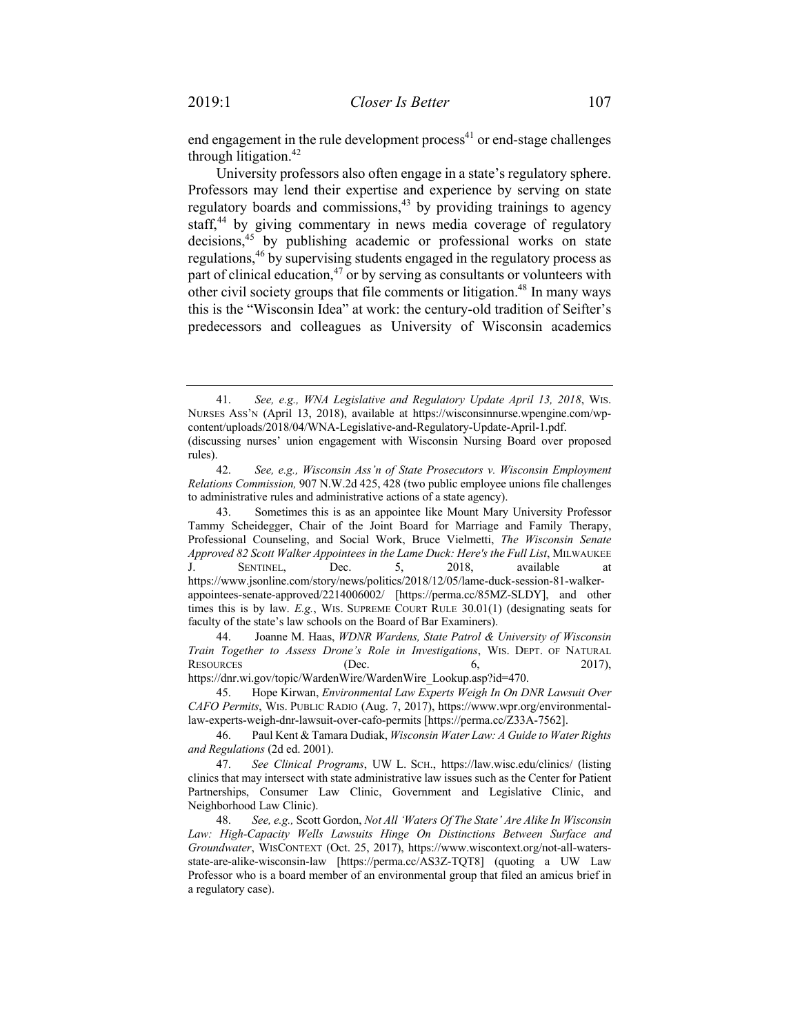end engagement in the rule development process $^{41}$  or end-stage challenges through litigation.<sup>42</sup>

University professors also often engage in a state's regulatory sphere. Professors may lend their expertise and experience by serving on state regulatory boards and commissions,<sup>43</sup> by providing trainings to agency staff,<sup>44</sup> by giving commentary in news media coverage of regulatory decisions,<sup>45</sup> by publishing academic or professional works on state regulations,<sup>46</sup> by supervising students engaged in the regulatory process as part of clinical education,  $47$  or by serving as consultants or volunteers with other civil society groups that file comments or litigation.<sup>48</sup> In many ways this is the "Wisconsin Idea" at work: the century-old tradition of Seifter's predecessors and colleagues as University of Wisconsin academics

<sup>41.</sup> *See, e.g., WNA Legislative and Regulatory Update April 13, 2018*, WIS. NURSES ASS'N (April 13, 2018), available at https://wisconsinnurse.wpengine.com/wpcontent/uploads/2018/04/WNA-Legislative-and-Regulatory-Update-April-1.pdf. (discussing nurses' union engagement with Wisconsin Nursing Board over proposed rules).

<sup>42.</sup> *See, e.g., Wisconsin Ass'n of State Prosecutors v. Wisconsin Employment Relations Commission,* 907 N.W.2d 425, 428 (two public employee unions file challenges to administrative rules and administrative actions of a state agency).

<sup>43.</sup> Sometimes this is as an appointee like Mount Mary University Professor Tammy Scheidegger, Chair of the Joint Board for Marriage and Family Therapy, Professional Counseling, and Social Work, Bruce Vielmetti, *The Wisconsin Senate*  Approved 82 Scott Walker Appointees in the Lame Duck: Here's the Full List, MILWAUKEE J. SENTINEL, Dec. 5, 2018, available at https://www.jsonline.com/story/news/politics/2018/12/05/lame-duck-session-81-walkerappointees-senate-approved/2214006002/ [https://perma.cc/85MZ-SLDY], and other times this is by law. *E.g.*, WIS. SUPREME COURT RULE 30.01(1) (designating seats for faculty of the state's law schools on the Board of Bar Examiners).

<sup>44.</sup> Joanne M. Haas, *WDNR Wardens, State Patrol & University of Wisconsin Train Together to Assess Drone's Role in Investigations*, WIS. DEPT. OF NATURAL RESOURCES (Dec. 6, 2017), https://dnr.wi.gov/topic/WardenWire/WardenWire\_Lookup.asp?id=470.

<sup>45.</sup> Hope Kirwan, *Environmental Law Experts Weigh In On DNR Lawsuit Over CAFO Permits*, WIS. PUBLIC RADIO (Aug. 7, 2017), https://www.wpr.org/environmentallaw-experts-weigh-dnr-lawsuit-over-cafo-permits [https://perma.cc/Z33A-7562].

<sup>46.</sup> Paul Kent & Tamara Dudiak, *Wisconsin Water Law: A Guide to Water Rights and Regulations* (2d ed. 2001).

<sup>47.</sup> *See Clinical Programs*, UW L. SCH., https://law.wisc.edu/clinics/ (listing clinics that may intersect with state administrative law issues such as the Center for Patient Partnerships, Consumer Law Clinic, Government and Legislative Clinic, and Neighborhood Law Clinic).

<sup>48.</sup> *See, e.g.,* Scott Gordon, *Not All 'Waters Of The State' Are Alike In Wisconsin*  Law: High-Capacity Wells Lawsuits Hinge On Distinctions Between Surface and *Groundwater*, WISCONTEXT (Oct. 25, 2017), https://www.wiscontext.org/not-all-watersstate-are-alike-wisconsin-law [https://perma.cc/AS3Z-TQT8] (quoting a UW Law Professor who is a board member of an environmental group that filed an amicus brief in a regulatory case).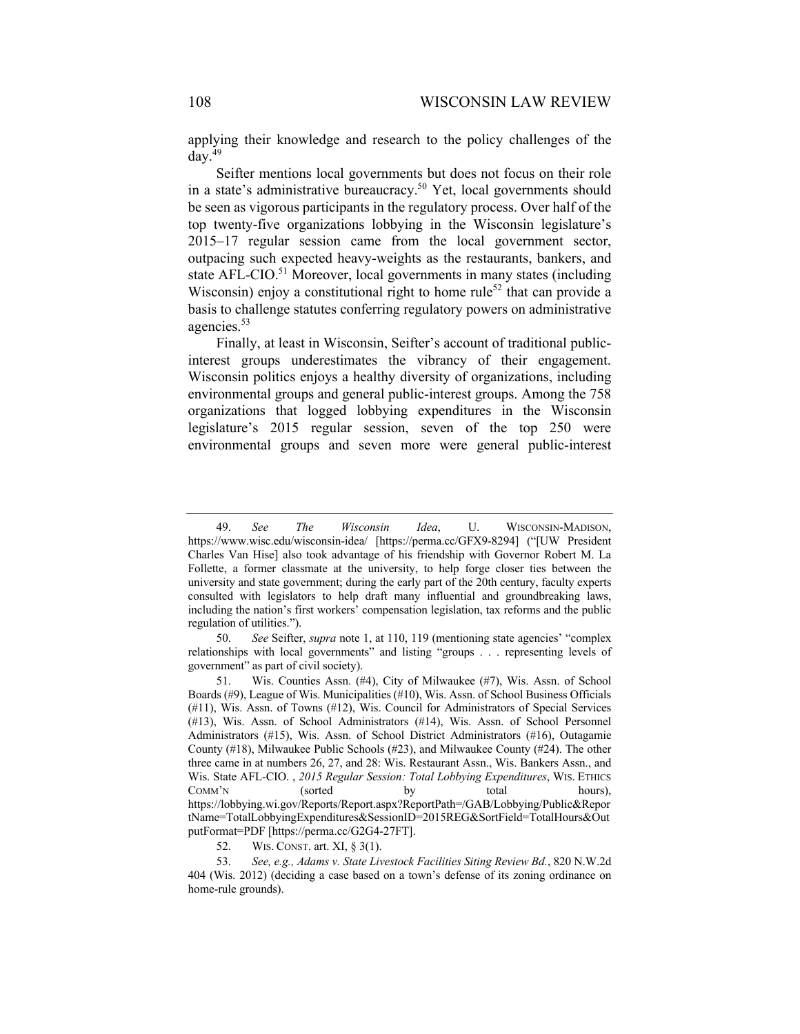applying their knowledge and research to the policy challenges of the  $d$ av.<sup>49</sup>

Seifter mentions local governments but does not focus on their role in a state's administrative bureaucracy.<sup>50</sup> Yet, local governments should be seen as vigorous participants in the regulatory process. Over half of the top twenty-five organizations lobbying in the Wisconsin legislature's 2015–17 regular session came from the local government sector, outpacing such expected heavy-weights as the restaurants, bankers, and state AFL-CIO.<sup>51</sup> Moreover, local governments in many states (including Wisconsin) enjoy a constitutional right to home rule<sup>52</sup> that can provide a basis to challenge statutes conferring regulatory powers on administrative agencies.<sup>53</sup>

Finally, at least in Wisconsin, Seifter's account of traditional publicinterest groups underestimates the vibrancy of their engagement. Wisconsin politics enjoys a healthy diversity of organizations, including environmental groups and general public-interest groups. Among the 758 organizations that logged lobbying expenditures in the Wisconsin legislature's 2015 regular session, seven of the top 250 were environmental groups and seven more were general public-interest

<sup>49.</sup> *See The Wisconsin Idea*, U. WISCONSIN-MADISON, https://www.wisc.edu/wisconsin-idea/ [https://perma.cc/GFX9-8294] ("[UW President Charles Van Hise] also took advantage of his friendship with Governor Robert M. La Follette, a former classmate at the university, to help forge closer ties between the university and state government; during the early part of the 20th century, faculty experts consulted with legislators to help draft many influential and groundbreaking laws, including the nation's first workers' compensation legislation, tax reforms and the public regulation of utilities.").

<sup>50.</sup> *See* Seifter, *supra* note 1, at 110, 119 (mentioning state agencies' "complex relationships with local governments" and listing "groups . . . representing levels of government" as part of civil society).

<sup>51.</sup> Wis. Counties Assn. (#4), City of Milwaukee (#7), Wis. Assn. of School Boards (#9), League of Wis. Municipalities (#10), Wis. Assn. of School Business Officials (#11), Wis. Assn. of Towns (#12), Wis. Council for Administrators of Special Services (#13), Wis. Assn. of School Administrators (#14), Wis. Assn. of School Personnel Administrators (#15), Wis. Assn. of School District Administrators (#16), Outagamie County (#18), Milwaukee Public Schools (#23), and Milwaukee County (#24). The other three came in at numbers 26, 27, and 28: Wis. Restaurant Assn., Wis. Bankers Assn., and Wis. State AFL-CIO. , *2015 Regular Session: Total Lobbying Expenditures*, WIS. ETHICS COMM'N (sorted by total hours), https://lobbying.wi.gov/Reports/Report.aspx?ReportPath=/GAB/Lobbying/Public&Repor tName=TotalLobbyingExpenditures&SessionID=2015REG&SortField=TotalHours&Out putFormat=PDF [https://perma.cc/G2G4-27FT].

<sup>52.</sup> WIS. CONST. art. XI, § 3(1).

<sup>53.</sup> *See, e.g., Adams v. State Livestock Facilities Siting Review Bd.*, 820 N.W.2d 404 (Wis. 2012) (deciding a case based on a town's defense of its zoning ordinance on home-rule grounds).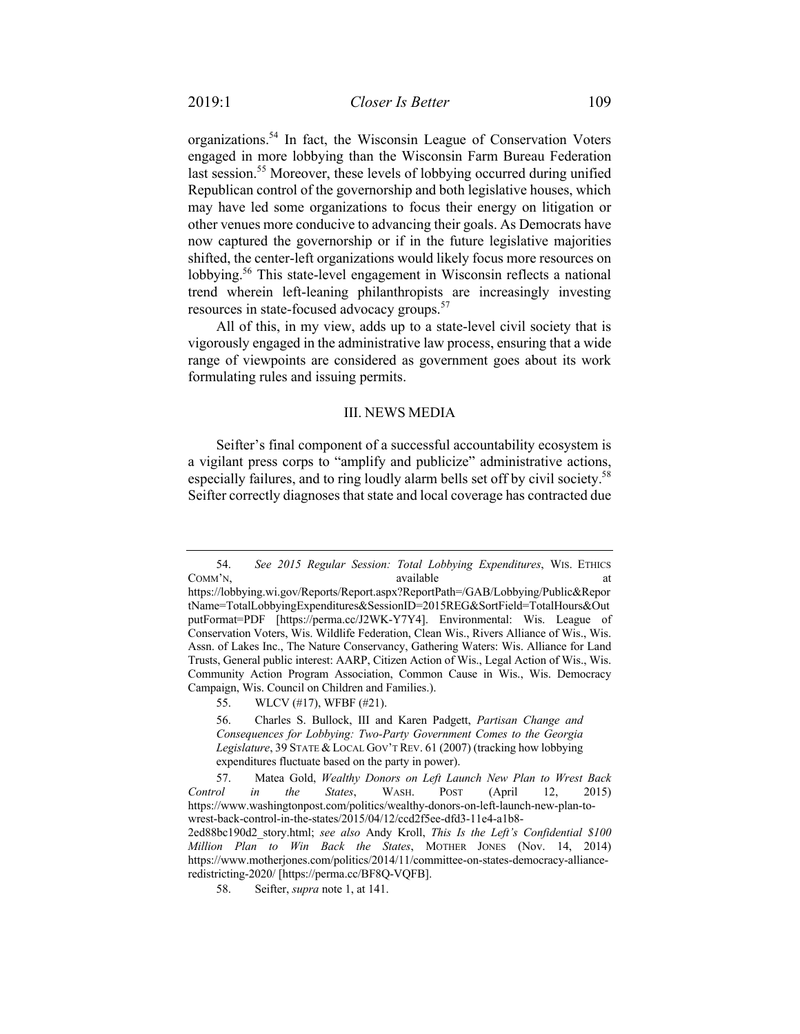organizations.<sup>54</sup> In fact, the Wisconsin League of Conservation Voters engaged in more lobbying than the Wisconsin Farm Bureau Federation last session.<sup>55</sup> Moreover, these levels of lobbying occurred during unified Republican control of the governorship and both legislative houses, which may have led some organizations to focus their energy on litigation or other venues more conducive to advancing their goals. As Democrats have now captured the governorship or if in the future legislative majorities shifted, the center-left organizations would likely focus more resources on lobbying.<sup>56</sup> This state-level engagement in Wisconsin reflects a national trend wherein left-leaning philanthropists are increasingly investing resources in state-focused advocacy groups.<sup>57</sup>

All of this, in my view, adds up to a state-level civil society that is vigorously engaged in the administrative law process, ensuring that a wide range of viewpoints are considered as government goes about its work formulating rules and issuing permits.

### III. NEWS MEDIA

Seifter's final component of a successful accountability ecosystem is a vigilant press corps to "amplify and publicize" administrative actions, especially failures, and to ring loudly alarm bells set off by civil society.<sup>58</sup> Seifter correctly diagnoses that state and local coverage has contracted due

<sup>54.</sup> *See 2015 Regular Session: Total Lobbying Expenditures*, WIS. ETHICS COMM'N, available at a statute at a community available at a community and a community and a community at a community and a community at a community and a community at a community and a community and a community at a commu

https://lobbying.wi.gov/Reports/Report.aspx?ReportPath=/GAB/Lobbying/Public&Repor tName=TotalLobbyingExpenditures&SessionID=2015REG&SortField=TotalHours&Out putFormat=PDF [https://perma.cc/J2WK-Y7Y4]. Environmental: Wis. League of Conservation Voters, Wis. Wildlife Federation, Clean Wis., Rivers Alliance of Wis., Wis. Assn. of Lakes Inc., The Nature Conservancy, Gathering Waters: Wis. Alliance for Land Trusts, General public interest: AARP, Citizen Action of Wis., Legal Action of Wis., Wis. Community Action Program Association, Common Cause in Wis., Wis. Democracy Campaign, Wis. Council on Children and Families.).

<sup>55.</sup> WLCV (#17), WFBF (#21).

<sup>56.</sup> Charles S. Bullock, III and Karen Padgett, *Partisan Change and Consequences for Lobbying: Two-Party Government Comes to the Georgia Legislature*, 39 STATE &LOCAL GOV'T REV. 61 (2007) (tracking how lobbying expenditures fluctuate based on the party in power).

<sup>57.</sup> Matea Gold, *Wealthy Donors on Left Launch New Plan to Wrest Back Control in the States*, WASH. POST (April 12, 2015) https://www.washingtonpost.com/politics/wealthy-donors-on-left-launch-new-plan-towrest-back-control-in-the-states/2015/04/12/ccd2f5ee-dfd3-11e4-a1b8- 2ed88bc190d2\_story.html; *see also* Andy Kroll, *This Is the Left's Confidential \$100 Million Plan to Win Back the States*, MOTHER JONES (Nov. 14, 2014) https://www.motherjones.com/politics/2014/11/committee-on-states-democracy-allianceredistricting-2020/ [https://perma.cc/BF8Q-VQFB].

<sup>58.</sup> Seifter, *supra* note 1, at 141.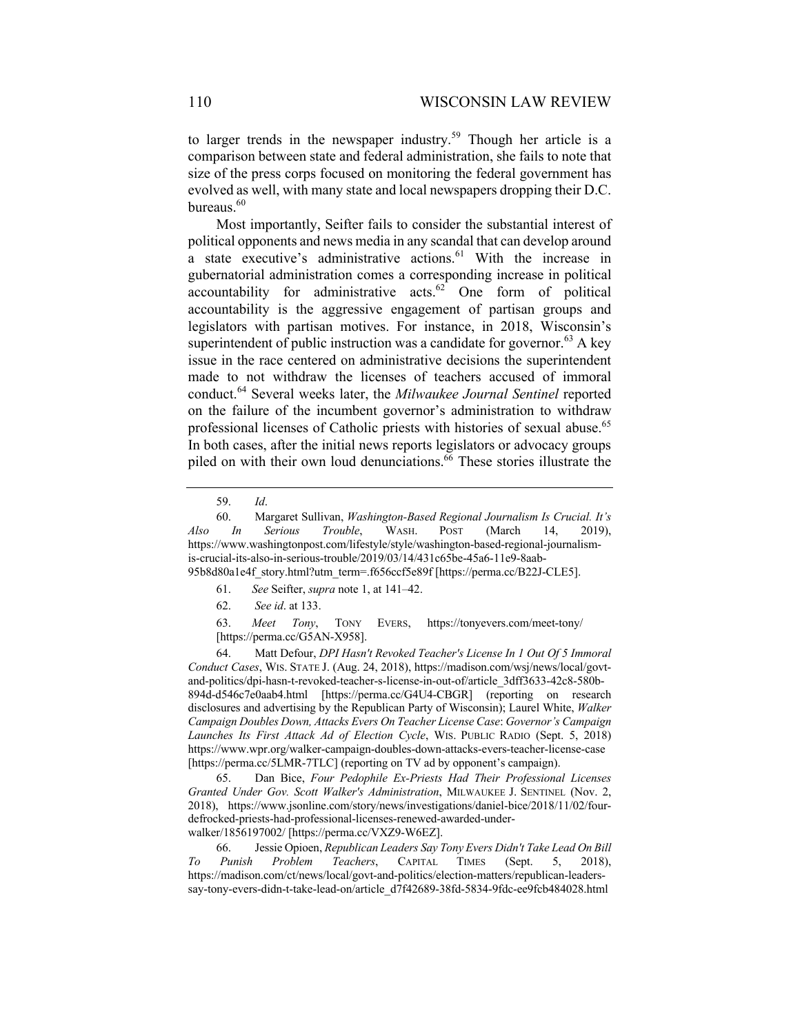to larger trends in the newspaper industry.<sup>59</sup> Though her article is a comparison between state and federal administration, she fails to note that size of the press corps focused on monitoring the federal government has evolved as well, with many state and local newspapers dropping their D.C. bureaus. 60

Most importantly, Seifter fails to consider the substantial interest of political opponents and news media in any scandal that can develop around a state executive's administrative actions.  $61$  With the increase in gubernatorial administration comes a corresponding increase in political accountability for administrative acts. $62$  One form of political accountability is the aggressive engagement of partisan groups and legislators with partisan motives. For instance, in 2018, Wisconsin's superintendent of public instruction was a candidate for governor.<sup>63</sup> A key issue in the race centered on administrative decisions the superintendent made to not withdraw the licenses of teachers accused of immoral conduct.<sup>64</sup> Several weeks later, the *Milwaukee Journal Sentinel* reported on the failure of the incumbent governor's administration to withdraw professional licenses of Catholic priests with histories of sexual abuse.<sup>65</sup> In both cases, after the initial news reports legislators or advocacy groups piled on with their own loud denunciations. $66$  These stories illustrate the

61. *See* Seifter, *supra* note 1, at 141–42.

63. *Meet Tony*, TONY EVERS, https://tonyevers.com/meet-tony/ [https://perma.cc/G5AN-X958].

64. Matt Defour, *DPI Hasn't Revoked Teacher's License In 1 Out Of 5 Immoral Conduct Cases*, WIS. STATE J. (Aug. 24, 2018), https://madison.com/wsj/news/local/govtand-politics/dpi-hasn-t-revoked-teacher-s-license-in-out-of/article\_3dff3633-42c8-580b-894d-d546c7e0aab4.html [https://perma.cc/G4U4-CBGR] (reporting on research disclosures and advertising by the Republican Party of Wisconsin); Laurel White, *Walker Campaign Doubles Down, Attacks Evers On Teacher License Case*: *Governor's Campaign Launches Its First Attack Ad of Election Cycle*, WIS. PUBLIC RADIO (Sept. 5, 2018) https://www.wpr.org/walker-campaign-doubles-down-attacks-evers-teacher-license-case [https://perma.cc/5LMR-7TLC] (reporting on TV ad by opponent's campaign).

65. Dan Bice, *Four Pedophile Ex-Priests Had Their Professional Licenses Granted Under Gov. Scott Walker's Administration*, MILWAUKEE J. SENTINEL (Nov. 2, 2018), https://www.jsonline.com/story/news/investigations/daniel-bice/2018/11/02/fourdefrocked-priests-had-professional-licenses-renewed-awarded-underwalker/1856197002/ [https://perma.cc/VXZ9-W6EZ].

66. Jessie Opioen, *Republican Leaders Say Tony Evers Didn't Take Lead On Bill To Punish Problem Teachers*, CAPITAL TIMES (Sept. 5, 2018), https://madison.com/ct/news/local/govt-and-politics/election-matters/republican-leaderssay-tony-evers-didn-t-take-lead-on/article\_d7f42689-38fd-5834-9fdc-ee9fcb484028.html

<sup>59.</sup> *Id*.

<sup>60.</sup> Margaret Sullivan, *Washington-Based Regional Journalism Is Crucial. It's Also In Serious Trouble*, WASH. POST (March 14, 2019), https://www.washingtonpost.com/lifestyle/style/washington-based-regional-journalismis-crucial-its-also-in-serious-trouble/2019/03/14/431c65be-45a6-11e9-8aab-95b8d80a1e4f\_story.html?utm\_term=.f656ccf5e89f [https://perma.cc/B22J-CLE5].

<sup>62.</sup> *See id*. at 133.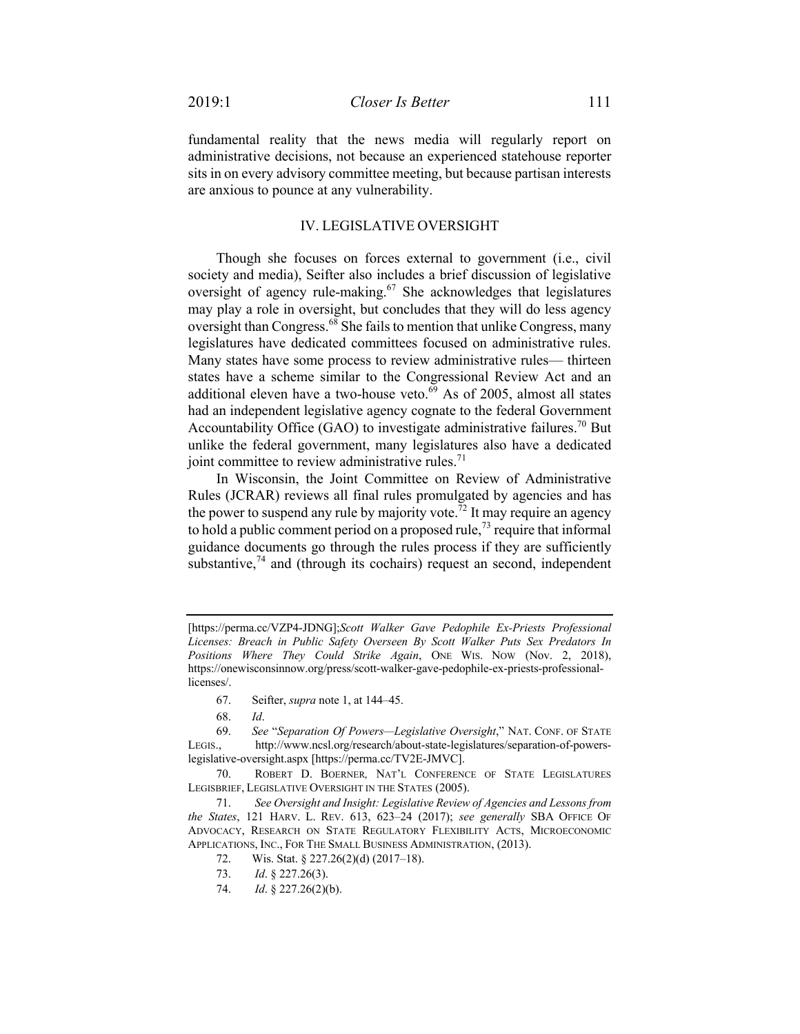fundamental reality that the news media will regularly report on administrative decisions, not because an experienced statehouse reporter sits in on every advisory committee meeting, but because partisan interests are anxious to pounce at any vulnerability.

### IV. LEGISLATIVE OVERSIGHT

Though she focuses on forces external to government (i.e., civil society and media), Seifter also includes a brief discussion of legislative oversight of agency rule-making.<sup>67</sup> She acknowledges that legislatures may play a role in oversight, but concludes that they will do less agency oversight than Congress.<sup>68</sup> She fails to mention that unlike Congress, many legislatures have dedicated committees focused on administrative rules. Many states have some process to review administrative rules— thirteen states have a scheme similar to the Congressional Review Act and an additional eleven have a two-house veto. $69$  As of 2005, almost all states had an independent legislative agency cognate to the federal Government Accountability Office (GAO) to investigate administrative failures.<sup>70</sup> But unlike the federal government, many legislatures also have a dedicated joint committee to review administrative rules. $71$ 

In Wisconsin, the Joint Committee on Review of Administrative Rules (JCRAR) reviews all final rules promulgated by agencies and has the power to suspend any rule by majority vote.<sup>72</sup> It may require an agency to hold a public comment period on a proposed rule,<sup>73</sup> require that informal guidance documents go through the rules process if they are sufficiently substantive, $^{74}$  and (through its cochairs) request an second, independent

- 67. Seifter, *supra* note 1, at 144–45.
- 68. *Id*.

<sup>[</sup>https://perma.cc/VZP4-JDNG];*Scott Walker Gave Pedophile Ex-Priests Professional Licenses: Breach in Public Safety Overseen By Scott Walker Puts Sex Predators In Positions Where They Could Strike Again*, ONE WIS. NOW (Nov. 2, 2018), https://onewisconsinnow.org/press/scott-walker-gave-pedophile-ex-priests-professionallicenses/.

<sup>69.</sup> *See* "*Separation Of Powers—Legislative Oversight*," NAT. CONF. OF STATE LEGIS., http://www.ncsl.org/research/about-state-legislatures/separation-of-powerslegislative-oversight.aspx [https://perma.cc/TV2E-JMVC].

<sup>70.</sup> ROBERT D. BOERNER*,* NAT'L CONFERENCE OF STATE LEGISLATURES LEGISBRIEF, LEGISLATIVE OVERSIGHT IN THE STATES (2005).

<sup>71.</sup> *See Oversight and Insight: Legislative Review of Agencies and Lessons from the States*, 121 HARV. L. REV. 613, 623–24 (2017); *see generally* SBA OFFICE OF ADVOCACY, RESEARCH ON STATE REGULATORY FLEXIBILITY ACTS, MICROECONOMIC APPLICATIONS, INC., FOR THE SMALL BUSINESS ADMINISTRATION, (2013).

<sup>72.</sup> Wis. Stat. § 227.26(2)(d) (2017–18).

<sup>73.</sup> *Id*. § 227.26(3).

<sup>74.</sup> *Id*. § 227.26(2)(b).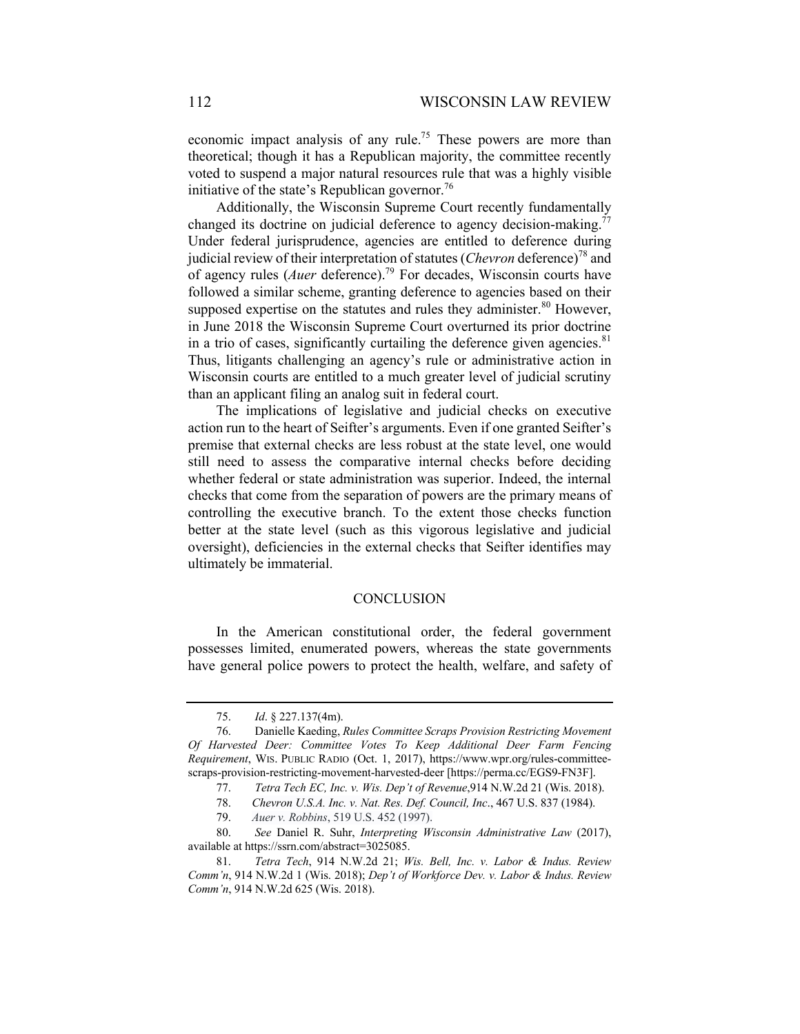economic impact analysis of any rule.<sup>75</sup> These powers are more than theoretical; though it has a Republican majority, the committee recently voted to suspend a major natural resources rule that was a highly visible initiative of the state's Republican governor.<sup>76</sup>

Additionally, the Wisconsin Supreme Court recently fundamentally changed its doctrine on judicial deference to agency decision-making.<sup>77</sup> Under federal jurisprudence, agencies are entitled to deference during judicial review of their interpretation of statutes (*Chevron* deference)<sup>78</sup> and of agency rules (*Auer* deference).<sup>79</sup> For decades, Wisconsin courts have followed a similar scheme, granting deference to agencies based on their supposed expertise on the statutes and rules they administer.<sup>80</sup> However, in June 2018 the Wisconsin Supreme Court overturned its prior doctrine in a trio of cases, significantly curtailing the deference given agencies. $81$ Thus, litigants challenging an agency's rule or administrative action in Wisconsin courts are entitled to a much greater level of judicial scrutiny than an applicant filing an analog suit in federal court.

The implications of legislative and judicial checks on executive action run to the heart of Seifter's arguments. Even if one granted Seifter's premise that external checks are less robust at the state level, one would still need to assess the comparative internal checks before deciding whether federal or state administration was superior. Indeed, the internal checks that come from the separation of powers are the primary means of controlling the executive branch. To the extent those checks function better at the state level (such as this vigorous legislative and judicial oversight), deficiencies in the external checks that Seifter identifies may ultimately be immaterial.

#### **CONCLUSION**

In the American constitutional order, the federal government possesses limited, enumerated powers, whereas the state governments have general police powers to protect the health, welfare, and safety of

<sup>75.</sup> *Id*. § 227.137(4m).

<sup>76.</sup> Danielle Kaeding, *Rules Committee Scraps Provision Restricting Movement Of Harvested Deer: Committee Votes To Keep Additional Deer Farm Fencing Requirement*, WIS. PUBLIC RADIO (Oct. 1, 2017), https://www.wpr.org/rules-committeescraps-provision-restricting-movement-harvested-deer [https://perma.cc/EGS9-FN3F].

<sup>77.</sup> *Tetra Tech EC, Inc. v. Wis. Dep't of Revenue*,914 N.W.2d 21 (Wis. 2018).

<sup>78.</sup> *Chevron U.S.A. Inc. v. Nat. Res. Def. Council, Inc*., 467 U.S. 837 (1984).

<sup>79.</sup> *Auer v. Robbins*, 519 U.S. 452 (1997).

<sup>80.</sup> *See* Daniel R. Suhr, *Interpreting Wisconsin Administrative Law* (2017), available at https://ssrn.com/abstract=3025085.

<sup>81.</sup> *Tetra Tech*, 914 N.W.2d 21; *Wis. Bell, Inc. v. Labor & Indus. Review Comm'n*, 914 N.W.2d 1 (Wis. 2018); *Dep't of Workforce Dev. v. Labor & Indus. Review Comm'n*, 914 N.W.2d 625 (Wis. 2018).